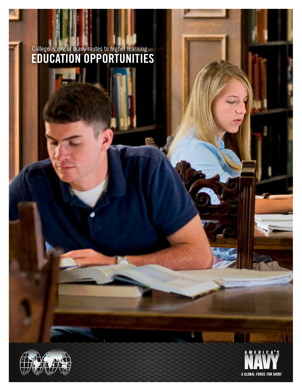# College is one of many routes to higher learning EDUCATION OPPORTUNITIES



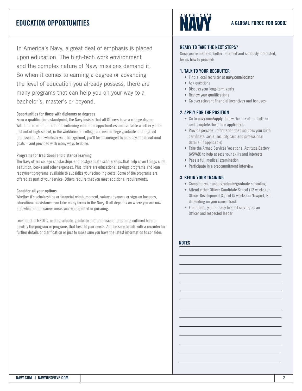### EDUCATION OPPORTUNITIES

In America's Navy, a great deal of emphasis is placed upon education. The high-tech work environment and the complex nature of Navy missions demand it. So when it comes to earning a degree or advancing the level of education you already possess, there are many programs that can help you on your way to a bachelor's, master's or beyond.

### Opportunities for those with diplomas or degrees

From a qualifications standpoint, the Navy insists that all Officers have a college degree. With that in mind, initial and continuing education opportunities are available whether you're just out of high school, in the workforce, in college, a recent college graduate or a degreed professional. And whatever your background, you'll be encouraged to pursue your educational goals – and provided with many ways to do so.

### Programs for traditional and distance learning

The Navy offers college scholarships and postgraduate scholarships that help cover things such as tuition, books and other expenses. Plus, there are educational savings programs and loan repayment programs available to subsidize your schooling costs. Some of the programs are offered as part of your service. Others require that you meet additional requirements.

### Consider all your options

Whether it's scholarships or financial reimbursement, salary advances or sign-on bonuses, educational assistance can take many forms in the Navy. It all depends on where you are now and which of the career areas you're interested in pursuing.

Look into the NROTC, undergraduate, graduate and professional programs outlined here to identify the program or programs that best fit your needs. And be sure to talk with a recruiter for further details or clarification or just to make sure you have the latest information to consider.



### A GLOBAL FORCE FOR GOOD."

### READY TO TAKE THE NEXT STEPS?

Once you're inspired, better informed and seriously interested, here's how to proceed:

### 1. TALK TO YOUR RECRUITER

- Find a local recruiter at [navy.com/locator](http://www.navy.com/locator.html)
- Ask questions
- Discuss your long-term goals
- Review your qualifications
- Go over relevant financial incentives and bonuses

### 2. APPLY FOR THE POSITION

- Go to [navy.com/apply](http://www.navy.com/online-application.html), follow the link at the bottom and complete the online application
- Provide personal information that includes your birth certificate, social security card and professional details (if applicable)
- Take the Armed Services Vocational Aptitude Battery (ASVAB) to help assess your skills and interests
- Pass a full medical examination
- Participate in a precommitment interview

### 3. BEGIN YOUR TRAINING

- Complete your undergraduate/graduate schooling
- Attend either Officer Candidate School (12 weeks) or Officer Development School (5 weeks) in Newport, R.I., depending on your career track
- From there, you're ready to start serving as an Officer and respected leader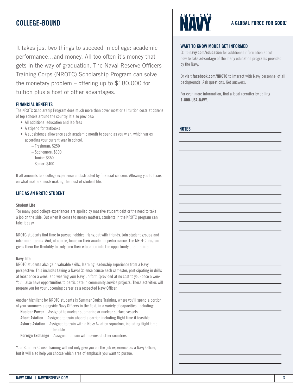### COLLEGE-BOUND

It takes just two things to succeed in college: academic performance…and money. All too often it's money that gets in the way of graduation. The Naval Reserve Officers Training Corps (NROTC) Scholarship Program can solve the monetary problem – offering up to \$180,000 for tuition plus a host of other advantages.

### FINANCIAL BENEFITS

The NROTC Scholarship Program does much more than cover most or all tuition costs at dozens of top schools around the country. It also provides:

- • All additional education and lab fees
- A stipend for textbooks
- A subsistence allowance each academic month to spend as you wish, which varies according your current year in school.
	- Freshman: \$250
	- Sophomore: \$300
	- Junior: \$350
	- Senior: \$400

It all amounts to a college experience unobstructed by financial concern. Allowing you to focus on what matters most: making the most of student life.

### LIFE AS AN NROTC STUDENT

#### Student Life

Too many good college experiences are spoiled by massive student debt or the need to take a job on the side. But when it comes to money matters, students in the NROTC program can take it easy.

NROTC students find time to pursue hobbies. Hang out with friends. Join student groups and intramural teams. And, of course, focus on their academic performance. The NROTC program gives them the flexibility to truly turn their education into the opportunity of a lifetime.

#### Navy Life

NROTC students also gain valuable skills, learning leadership experience from a Navy perspective. This includes taking a Naval Science course each semester, participating in drills at least once a week, and wearing your Navy uniform (provided at no cost to you) once a week. You'll also have opportunities to participate in community service projects. These activities will prepare you for your upcoming career as a respected Navy Officer.

Another highlight for NROTC students is Summer Cruise Training, where you'll spend a portion of your summers alongside Navy Officers in the field, in a variety of capacities, including:

Nuclear Power – Assigned to nuclear submarine or nuclear surface vessels Afloat Aviation – Assigned to train aboard a carrier, including flight time if feasible Ashore Aviation – Assigned to train with a Navy Aviation squadron, including flight time if feasible

Foreign Exchange – Assigned to train with navies of other countries

Your Summer Cruise Training will not only give you on-the-job experience as a Navy Officer, but it will also help you choose which area of emphasis you want to pursue.



### A GLOBAL FORCE FOR GOOD."

### WANT TO KNOW MORE? GET INFORMED

Go to [navy.com/education](http://www.navy.com/joining/education-opportunities.html) for additional information about how to take advantage of the many education programs provided by the Navy.

Or visit [facebook.com/NROTC](http://www.facebook.com/nrotc) to interact with Navy personnel of all backgrounds. Ask questions. Get answers.

For even more information, find a local recruiter by calling 1-800-USA-NAVY.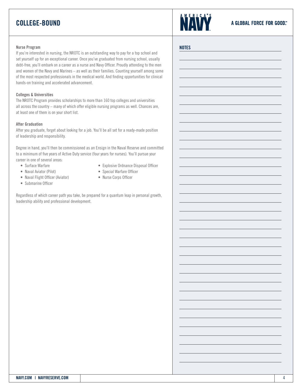### COLLEGE-BOUND



**NOTES** 

#### Nurse Program

If you're interested in nursing, the NROTC is an outstanding way to pay for a top school and set yourself up for an exceptional career. Once you've graduated from nursing school, usually debt-free, you'll embark on a career as a nurse and Navy Officer. Proudly attending to the men and women of the Navy and Marines – as well as their families. Counting yourself among some of the most respected professionals in the medical world. And finding opportunities for clinical hands-on training and accelerated advancement.

### Colleges & Universities

The NROTC Program provides scholarships to more than 160 top colleges and universities all across the country – many of which offer eligible nursing programs as well. Chances are, at least one of them is on your short list.

#### After Graduation

After you graduate, forget about looking for a job. You'll be all set for a ready-made position of leadership and responsibility.

Degree in hand, you'll then be commissioned as an Ensign in the Naval Reserve and committed to a minimum of five years of Active Duty service (four years for nurses). You'll pursue your career in one of several areas:

- Surface Warfare • Naval Aviator (Pilot)
- Explosive Ordnance Disposal Officer
	- Special Warfare Officer
- Naval Flight Officer (Aviator)
- Submarine Officer
- 
- • Nurse Corps Officer

Regardless of which career path you take, be prepared for a quantum leap in personal growth, leadership ability and professional development.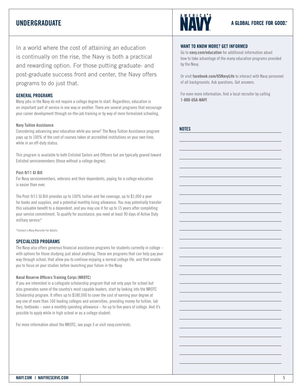### UNDERGRADUATE

In a world where the cost of attaining an education is continually on the rise, the Navy is both a practical and rewarding option. For those putting graduate- and post-graduate success front and center, the Navy offers programs to do just that.

### GENERAL PROGRAMS

Many jobs in the Navy do not require a college degree to start. Regardless, education is an important part of service in one way or another. There are several programs that encourage your career development through on-the-job training or by way of more formalized schooling.

### Navy Tuition Assistance

Considering advancing your education while you serve? The Navy Tuition Assistance program pays up to 100% of the cost of courses taken at accredited institutions on your own time, while in an off-duty status.

This program is available to both Enlisted Sailors and Officers but are typically geared toward Enlisted servicemembers (those without a college degree).

### Post-9/11 GI Bill

For Navy servicemembers, veterans and their dependents, paying for a college education is easier than ever.

The Post-9/11 GI Bill provides up to 100% tuition and fee coverage, up to \$1,000 a year for books and supplies, and a potential monthly living allowance. You may potentially transfer this valuable benefit to a dependent, and you may use it for up to 15 years after completing your service commitment. To qualify for assistance, you need at least 90 days of Active Duty military service.\*

\*Contact a Navy Recruiter for details.

### SPECIALIZED PROGRAMS

The Navy also offers generous financial assistance programs for students currently in college – with options for those studying just about anything. These are programs that can help pay your way through school, that allow you to continue enjoying a normal college life, and that enable you to focus on your studies before launching your future in the Navy.

### Naval Reserve Officers Training Corps (NROTC)

If you are interested in a collegiate scholarship program that not only pays for school but also generates some of the country's most capable leaders, start by looking into the NROTC Scholarship program. It offers up to \$180,000 to cover the cost of earning your degree at any one of more than 160 leading colleges and universities, providing money for tuition, lab fees, textbooks – even a monthly spending allowance – for up to five years of college. And it's possible to apply while in high school or as a college student.

For more information about the NROTC, see page 3 or visit [navy.com/nrotc.](http://www.navy.com/joining/education-opportunities/nrotc/?campaign=van_nrotc)



### WANT TO KNOW MORE? GET INFORMED

Go to [navy.com/education](http://www.navy.com/joining/education-opportunities.html) for additional information about how to take advantage of the many education programs provided by the Navy.

Or visit [facebook.com/USNavyLife](http://www.facebook.com/USNavyLife) to interact with Navy personnel of all backgrounds. Ask questions. Get answers.

For even more information, find a local recruiter by calling 1-800-USA-NAVY.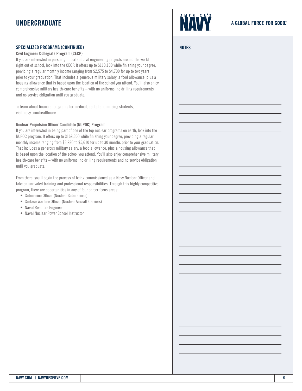## UNDERGRADUATE



**NOTES** 

### SPECIALIZED PROGRAMS (CONTINUED)

### Civil Engineer Collegiate Program (CECP)

If you are interested in pursuing important civil engineering projects around the world right out of school, look into the CECP. It offers up to \$113,100 while finishing your degree, providing a regular monthly income ranging from \$2,575 to \$4,700 for up to two years prior to your graduation. That includes a generous military salary, a food allowance, plus a housing allowance that is based upon the location of the school you attend. You'll also enjoy comprehensive military health-care benefits – with no uniforms, no drilling requirements and no service obligation until you graduate.

To learn about financial programs for medical, dental and nursing students, visit [navy.com/healthcare](http://www.navy.com/careers/healthcare/?campaign=van_healthcare)

### Nuclear Propulsion Officer Candidate (NUPOC) Program

If you are interested in being part of one of the top nuclear programs on earth, look into the NUPOC program. It offers up to \$168,300 while finishing your degree, providing a regular monthly income ranging from \$3,280 to \$5,610 for up to 30 months prior to your graduation. That includes a generous military salary, a food allowance, plus a housing allowance that is based upon the location of the school you attend. You'll also enjoy comprehensive military health-care benefits – with no uniforms, no drilling requirements and no service obligation until you graduate.

From there, you'll begin the process of being commissioned as a Navy Nuclear Officer and take on unrivaled training and professional responsibilities. Through this highly competitive program, there are opportunities in any of four career focus areas:

- Submarine Officer (Nuclear Submarines)
- Surface Warfare Officer (Nuclear Aircraft Carriers)
- Naval Reactors Engineer
- Naval Nuclear Power School Instructor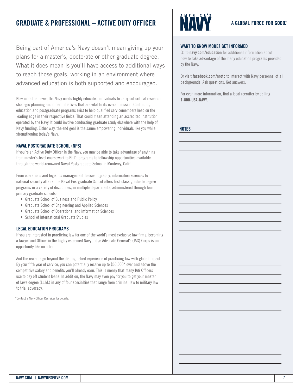### GRADUATE & PROFESSIONAL – ACTIVE DUTY OFFICER



Being part of America's Navy doesn't mean giving up your plans for a master's, doctorate or other graduate degree. What it does mean is you'll have access to additional ways to reach those goals, working in an environment where advanced education is both supported and encouraged.

Now more than ever, the Navy needs highly educated individuals to carry out critical research, strategic planning and other initiatives that are vital to its overall mission. Continuing education and postgraduate programs exist to help qualified servicemembers keep on the leading edge in their respective fields. That could mean attending an accredited institution operated by the Navy. It could involve conducting graduate study elsewhere with the help of Navy funding. Either way, the end goal is the same: empowering individuals like you while strengthening today's Navy.

### NAVAL POSTGRADUATE SCHOOL (NPS)

If you're an Active Duty Officer in the Navy, you may be able to take advantage of anything from master's-level coursework to Ph.D. programs to fellowship opportunities available through the world-renowned Naval Postgraduate School in Monterey, Calif.

From operations and logistics management to oceanography, information sciences to national security affairs, the Naval Postgraduate School offers first-class graduate degree programs in a variety of disciplines, in multiple departments, administered through four primary graduate schools:

- Graduate School of Business and Public Policy
- Graduate School of Engineering and Applied Sciences
- Graduate School of Operational and Information Sciences
- School of International Graduate Studies

### LEGAL EDUCATION PROGRAMS

If you are interested in practicing law for one of the world's most exclusive law firms, becoming a lawyer and Officer in the highly esteemed Navy Judge Advocate General's (JAG) Corps is an opportunity like no other.

And the rewards go beyond the distinguished experience of practicing law with global impact. By your fifth year of service, you can potentially receive up to \$60,000\* over and above the competitive salary and benefits you'll already earn. This is money that many JAG Officers use to pay off student loans. In addition, the Navy may even pay for you to get your master of laws degree (LL.M.) in any of four specialties that range from criminal law to military law to trial advocacy.

\*Contact a Navy Officer Recruiter for details.

### WANT TO KNOW MORE? GET INFORMED

Go to [navy.com/education](http://www.navy.com/joining/education-opportunities.html) for additional information about how to take advantage of the many education programs provided by the Navy.

Or visit [facebook.com/nrotc](http://www.navy.com/joining/education-opportunities/nrotc/?campaign=van_nrotc) to interact with Navy personnel of all backgrounds. Ask questions. Get answers.

For even more information, find a local recruiter by calling 1-800-USA-NAVY.